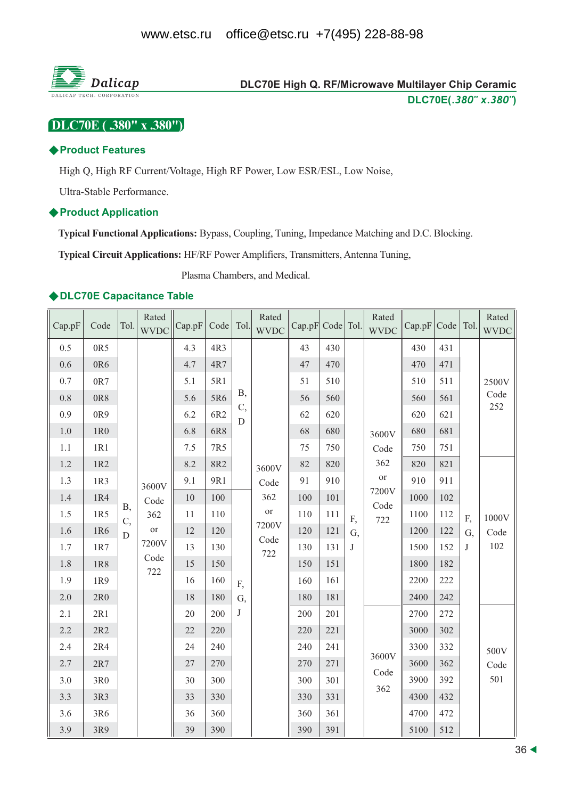

# DLC70E High Q. RF/Microwave Multilayer Chip Ceramic DLC70E(.380" x.380")

DLC70E (.380" x .380")

#### ◆ Product Features

High Q, High RF Current/Voltage, High RF Power, Low ESR/ESL, Low Noise,

Ultra-Stable Performance.

#### ♦ Product Application

Typical Functional Applications: Bypass, Coupling, Tuning, Impedance Matching and D.C. Blocking.

**Typical Circuit Applications: HF/RF Power Amplifiers, Transmitters, Antenna Tuning,** 

Plasma Chambers, and Medical.

#### ◆DLC70E Capacitance Table

| Cap.pF  | Code  | Tol.        | Rated<br><b>WVDC</b>                           | Cap.pF | Code   Tol. |            | Rated<br><b>WVDC</b> | Cap.pF Code Tol. |     |    | Rated<br><b>WVDC</b> | Cap.pF | Code   Tol. |     | Rated<br><b>WVDC</b> |  |      |     |   |
|---------|-------|-------------|------------------------------------------------|--------|-------------|------------|----------------------|------------------|-----|----|----------------------|--------|-------------|-----|----------------------|--|------|-----|---|
| 0.5     | 0R5   |             |                                                | 4.3    | 4R3         |            |                      | 43               | 430 |    |                      | 430    | 431         |     |                      |  |      |     |   |
| 0.6     | 0R6   |             |                                                | 4.7    | 4R7         |            |                      | 47               | 470 |    |                      | 470    | 471         |     |                      |  |      |     |   |
| $0.7\,$ | 0R7   |             |                                                | 5.1    | 5R1         |            |                      | 51               | 510 |    |                      | 510    | 511         |     | 2500V                |  |      |     |   |
| 0.8     | 0R8   |             |                                                | 5.6    | 5R6         | <b>B</b> , |                      | 56               | 560 |    |                      | 560    | 561         |     | Code                 |  |      |     |   |
| 0.9     | 0R9   |             |                                                | 6.2    | 6R2         | C,<br>D    |                      | 62               | 620 |    |                      | 620    | 621         |     | 252                  |  |      |     |   |
| $1.0\,$ | 1R0   |             |                                                | 6.8    | 6R8         |            |                      | 68               | 680 |    | 3600V                | 680    | 681         |     |                      |  |      |     |   |
| $1.1\,$ | 1R1   |             |                                                | 7.5    | 7R5         |            |                      | 75               | 750 |    | Code                 | 750    | 751         |     |                      |  |      |     |   |
| 1.2     | 1R2   |             |                                                | 8.2    | 8R2         |            | 3600V                | 82               | 820 |    | 362                  | 820    | 821         |     |                      |  |      |     |   |
| 1.3     | 1R3   |             | 3600V                                          | 9.1    | 9R1         |            | Code                 | 91               | 910 |    | $\hbox{or}\hbox{}$   | 910    | 911         |     |                      |  |      |     |   |
| 1.4     | 1R4   |             | Code<br><b>B</b> ,<br>362<br>C,<br>or<br>7200V | 10     | 100         |            | 362                  | 100              | 101 |    | 7200V<br>Code<br>722 | 1000   | 102         |     |                      |  |      |     |   |
| 1.5     | 1R5   |             |                                                | 11     | 110         |            | <b>or</b>            | 110              | 111 | F, |                      | 1100   | 112         | F,  | 1000V                |  |      |     |   |
| 1.6     | 1R6   | $\mathbf D$ |                                                | 12     | 120         |            | 7200V<br>Code        | 120              | 121 | G, |                      | 1200   | 122         | G,  | Code                 |  |      |     |   |
| 1.7     | 1R7   |             |                                                | 13     | 130         |            |                      |                  |     |    |                      | 722    | 130         | 131 | J                    |  | 1500 | 152 | J |
| 1.8     | 1R8   |             | Code<br>722                                    | 15     | 150         |            |                      | 150              | 151 |    |                      | 1800   | 182         |     |                      |  |      |     |   |
| 1.9     | 1R9   |             |                                                | 16     | 160         | F,         |                      | 160              | 161 |    |                      | 2200   | 222         |     |                      |  |      |     |   |
| 2.0     | 2R0   |             |                                                | 18     | 180         | G,         |                      | 180              | 181 |    |                      | 2400   | 242         |     |                      |  |      |     |   |
| 2.1     | 2R1   |             |                                                | 20     | 200         | J          |                      | 200              | 201 |    |                      | 2700   | 272         |     |                      |  |      |     |   |
| 2.2     | $2R2$ |             |                                                | 22     | 220         |            |                      | 220              | 221 |    |                      | 3000   | 302         |     |                      |  |      |     |   |
| 2.4     | 2R4   |             |                                                | 24     | 240         |            |                      | 240              | 241 |    |                      | 3300   | 332         |     | 500V                 |  |      |     |   |
| 2.7     | $2R7$ |             |                                                | 27     | 270         |            |                      | 270              | 271 |    | 3600V                | 3600   | 362         |     | Code                 |  |      |     |   |
| 3.0     | 3R0   |             |                                                | 30     | 300         |            |                      | 300              | 301 |    | Code<br>362          | 3900   | 392         |     | 501                  |  |      |     |   |
| 3.3     | 3R3   |             |                                                | 33     | 330         |            |                      | 330              | 331 |    |                      | 4300   | 432         |     |                      |  |      |     |   |
| 3.6     | 3R6   |             |                                                | 36     | 360         |            |                      | 360              | 361 |    |                      | 4700   | 472         |     |                      |  |      |     |   |
| 3.9     | 3R9   |             |                                                | 39     | 390         |            |                      | 390              | 391 |    |                      | 5100   | 512         |     |                      |  |      |     |   |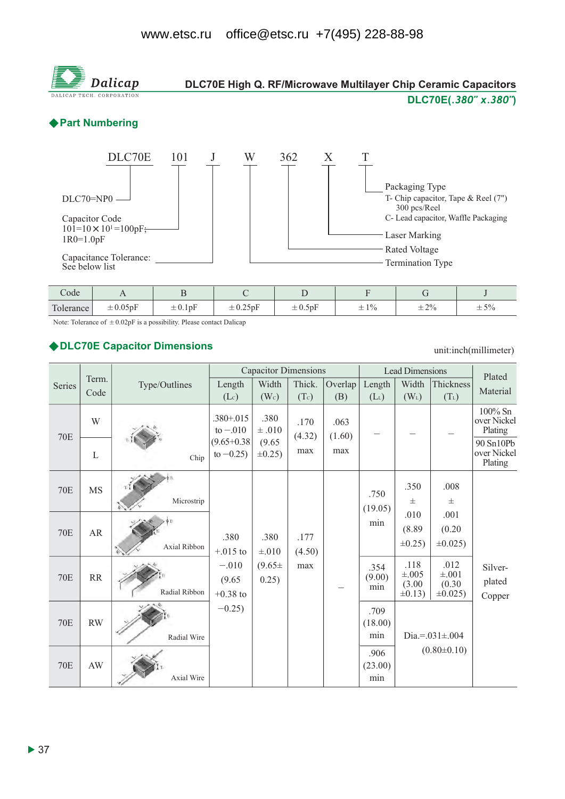

| -<br>Code                      |                                                                        |                                          |                                                                                                                                        |                              |                                        |               |                                       |
|--------------------------------|------------------------------------------------------------------------|------------------------------------------|----------------------------------------------------------------------------------------------------------------------------------------|------------------------------|----------------------------------------|---------------|---------------------------------------|
| $\mathbf{r}$<br>erance<br>Tole | $\overline{\phantom{0}}$<br>$\Lambda$ $\epsilon$<br>$\perp$ 0.00 $\mu$ | $\overline{\phantom{0}}$<br>$\pm 0.1$ pr | <b>The Contract of the Contract of the Contract of the Contract of the Contract of the Contract of the Contract o</b><br>$\pm 0.25$ pF | $\mathbf{r}$<br>$\pm 0.5$ pF | 10<br>$\overline{\phantom{0}}$<br>$-1$ | $+2%$<br>$-2$ | 50/<br>-<br>$ \sim$ $\prime$ $\prime$ |

Note: Tolerance of  $\pm 0.02pF$  is a possibility. Please contact Dalicap

#### ◆ DLC70E Capacitor Dimensions

unit:inch(millimeter)

|            |             |               |                                 | <b>Capacitor Dimensions</b> |                |                | <b>Lead Dimensions</b> | Plated                                       |                                               |                                     |
|------------|-------------|---------------|---------------------------------|-----------------------------|----------------|----------------|------------------------|----------------------------------------------|-----------------------------------------------|-------------------------------------|
| Series     | Term.       | Type/Outlines | Length                          | Width                       | Thick.         | Overlap        | Length                 | Width                                        | Thickness                                     |                                     |
|            | Code        |               | (Lc)                            | (W <sub>c</sub> )           | (Tc)           | (B)            | $(L_L)$                | $(W_L)$                                      | $(T_L)$                                       | Material                            |
| <b>70E</b> | W           |               | $.380 + .015$<br>to $-.010$     | .380<br>$\pm .010$          | .170<br>(4.32) | .063<br>(1.60) |                        |                                              |                                               | 100% Sn<br>over Nickel<br>Plating   |
|            | $\mathbf L$ | Chip          | $(9.65 + 0.38)$<br>to $-0.25$ ) | (9.65)<br>$\pm 0.25$ )      | max            | max            |                        |                                              |                                               | 90 Sn10Pb<br>over Nickel<br>Plating |
| <b>70E</b> | <b>MS</b>   | Microstrip    |                                 |                             |                |                | .750<br>(19.05)        | .350<br>士                                    | .008<br>士                                     |                                     |
| <b>70E</b> | AR          | Axial Ribbon  | .380<br>$+.015$ to              | .380<br>$\pm .010$          | .177<br>(4.50) |                | min                    | .010<br>(8.89)<br>$\pm 0.25$ )               | .001<br>(0.20)<br>$\pm 0.025$ )               |                                     |
| <b>70E</b> | RR          | Radial Ribbon | $-.010$<br>(9.65)<br>$+0.38$ to | $(9.65 \pm$<br>0.25)        | max            |                | .354<br>(9.00)<br>min  | .118<br>$\pm .005$<br>(3.00)<br>$\pm 0.13$ ) | .012<br>$\pm .001$<br>(0.30)<br>$\pm 0.025$ ) | Silver-<br>plated<br>Copper         |
| <b>70E</b> | <b>RW</b>   | Radial Wire   | $-0.25$ )                       |                             |                |                | .709<br>(18.00)<br>min |                                              | Dia.=. $031 \pm 004$                          |                                     |
| <b>70E</b> | AW          | Axial Wire    |                                 |                             |                |                | .906<br>(23.00)<br>min |                                              | $(0.80 \pm 0.10)$                             |                                     |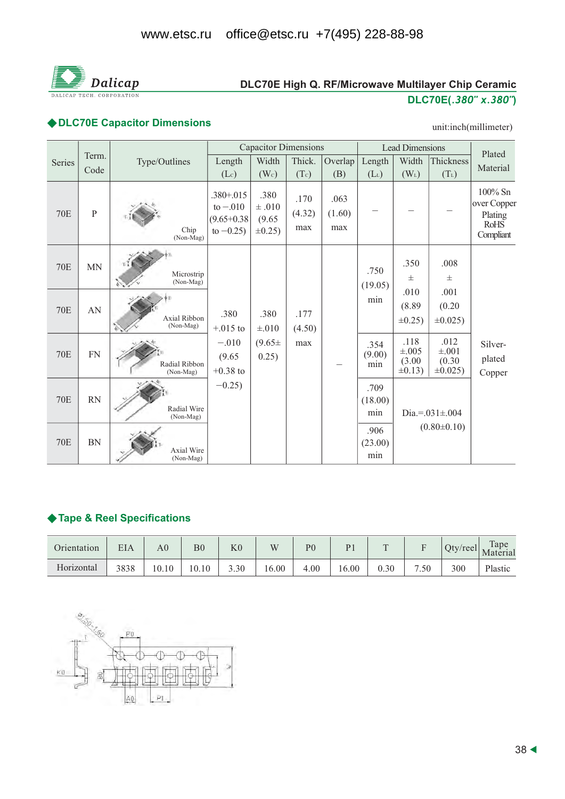

# DLC70E High Q. RF/Microwave Multilayer Chip Ceramic DLC70E(.380" x.380")

# ◆ DLC70E Capacitor Dimensions

#### unit:inch(millimeter)

|            |               |                                |                                                                | <b>Capacitor Dimensions</b>                  |                       |                       | <b>Lead Dimensions</b> | Plated                                     |                                               |                                                               |
|------------|---------------|--------------------------------|----------------------------------------------------------------|----------------------------------------------|-----------------------|-----------------------|------------------------|--------------------------------------------|-----------------------------------------------|---------------------------------------------------------------|
| Series     | Term.<br>Code | Type/Outlines                  | Length                                                         | Width                                        | Thick.                | Overlap               | Length                 | Width                                      | Thickness                                     | Material                                                      |
|            |               |                                | $(L_c)$                                                        | (W <sub>c</sub> )                            | (Tc)                  | (B)                   | $(L_L)$                | $(W_L)$                                    | $(T_L)$                                       |                                                               |
| <b>70E</b> | $\, {\bf P}$  | Chip<br>$(Non-Mag)$            | $.380 + .015$<br>to $-.010$<br>$(9.65 + 0.38)$<br>to $-0.25$ ) | .380<br>$\pm .010$<br>(9.65)<br>$\pm 0.25$ ) | .170<br>(4.32)<br>max | .063<br>(1.60)<br>max |                        |                                            |                                               | 100% Sn<br>over Copper<br>Plating<br><b>RoHS</b><br>Compliant |
| <b>70E</b> | <b>MN</b>     | Microstrip<br>(Non-Mag)        |                                                                |                                              |                       |                       | .750<br>(19.05)        | .350<br>$\pm$                              | .008<br>$\pm$                                 |                                                               |
| <b>70E</b> | AN            | Axial Ribbon<br>(Non-Mag)      | .380<br>$+.015$ to                                             | .380<br>$\pm .010$                           | .177<br>(4.50)        |                       | min                    | .010<br>(8.89)<br>$\pm 0.25$               | .001<br>(0.20)<br>$\pm 0.025$ )               |                                                               |
| <b>70E</b> | <b>FN</b>     | Radial Ribbon<br>(Non-Mag)     | $-.010$<br>(9.65)<br>$+0.38$ to                                | $(9.65 \pm$<br>0.25)                         | max                   |                       | .354<br>(9.00)<br>min  | .118<br>$\pm .005$<br>(3.00)<br>$\pm 0.13$ | .012<br>$\pm .001$<br>(0.30)<br>$\pm 0.025$ ) | Silver-<br>plated<br>Copper                                   |
| <b>70E</b> | <b>RN</b>     | Radial Wire<br>(Non-Mag)       | $-0.25$ )                                                      |                                              |                       |                       | .709<br>(18.00)<br>min |                                            | Dia.=. $031 \pm .004$                         |                                                               |
| <b>70E</b> | <b>BN</b>     | <b>Axial Wire</b><br>(Non-Mag) |                                                                |                                              |                       |                       | .906<br>(23.00)<br>min |                                            | $(0.80 \pm 0.10)$                             |                                                               |

### ◆ Tape & Reel Specifications

| Orientation | EIA  | $\rm{A}0^-$ | $_{\rm B0}$ | K0   | W     | P <sub>0</sub> | P <sub>1</sub> | $\Gamma$ |      | $Qty$ /reel | Tape<br>Material |
|-------------|------|-------------|-------------|------|-------|----------------|----------------|----------|------|-------------|------------------|
| Horizontal  | 3838 | 10.10       | 10.10       | 3.30 | 16.00 | 4.00           | 16.00          | 0.30     | 7.50 | 300         | Plastic          |

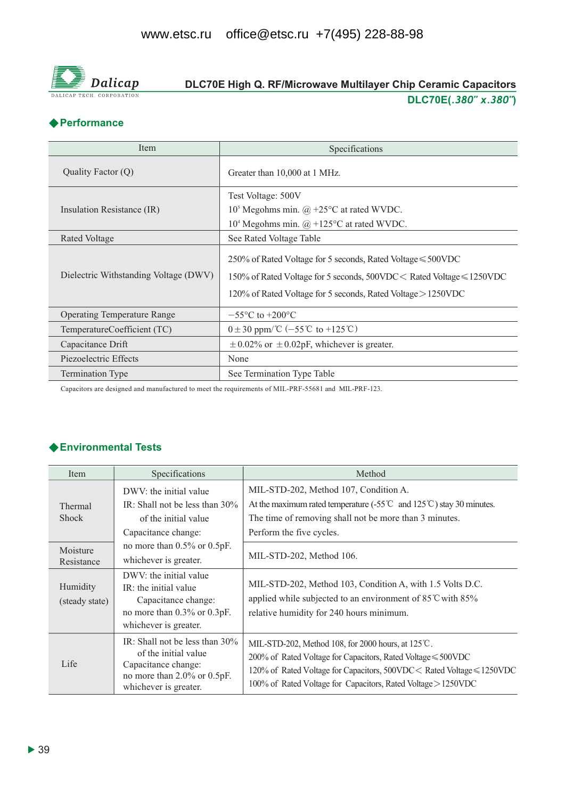

# DLC70E High Q. RF/Microwave Multilayer Chip Ceramic Capacitors DLC70E(.380" x.380")

# **◆ Performance**

| Item                                  | Specifications                                                                                                                                                                                                        |
|---------------------------------------|-----------------------------------------------------------------------------------------------------------------------------------------------------------------------------------------------------------------------|
| Quality Factor (Q)                    | Greater than 10,000 at 1 MHz.                                                                                                                                                                                         |
| Insulation Resistance (IR)            | Test Voltage: 500V<br>$105$ Megohms min. @ +25 $\rm{^{\circ}C}$ at rated WVDC.                                                                                                                                        |
|                                       | $104$ Megohms min. $\omega$ +125°C at rated WVDC.                                                                                                                                                                     |
| Rated Voltage                         | See Rated Voltage Table                                                                                                                                                                                               |
| Dielectric Withstanding Voltage (DWV) | 250% of Rated Voltage for 5 seconds, Rated Voltage $\leq 500$ VDC<br>150% of Rated Voltage for 5 seconds, $500$ VDC $<$ Rated Voltage $\leq 1250$ VDC<br>120% of Rated Voltage for 5 seconds, Rated Voltage > 1250VDC |
| <b>Operating Temperature Range</b>    | $-55^{\circ}$ C to $+200^{\circ}$ C                                                                                                                                                                                   |
| TemperatureCoefficient (TC)           | $0 \pm 30$ ppm/°C (-55°C to +125°C)                                                                                                                                                                                   |
| Capacitance Drift                     | $\pm$ 0.02% or $\pm$ 0.02pF, whichever is greater.                                                                                                                                                                    |
| Piezoelectric Effects                 | None                                                                                                                                                                                                                  |
| <b>Termination Type</b>               | See Termination Type Table                                                                                                                                                                                            |

Capacitors are designed and manufactured to meet the requirements of MIL-PRF-55681 and MIL-PRF-123.

# ◆ Environmental Tests

| Item                       | Specifications                                                                                                                                 | Method                                                                                                                                                                                                                                                              |
|----------------------------|------------------------------------------------------------------------------------------------------------------------------------------------|---------------------------------------------------------------------------------------------------------------------------------------------------------------------------------------------------------------------------------------------------------------------|
| Thermal<br><b>Shock</b>    | DWV: the initial value<br>IR: Shall not be less than $30\%$<br>of the initial value<br>Capacitance change:                                     | MIL-STD-202, Method 107, Condition A.<br>At the maximum rated temperature $(.55^{\circ}\text{C}$ and $125^{\circ}\text{C}$ ) stay 30 minutes.<br>The time of removing shall not be more than 3 minutes.<br>Perform the five cycles.                                 |
| Moisture<br>Resistance     | no more than $0.5\%$ or $0.5pF$ .<br>whichever is greater.                                                                                     | MIL-STD-202, Method 106.                                                                                                                                                                                                                                            |
| Humidity<br>(steady state) | DWV: the initial value<br>IR: the initial value<br>Capacitance change:<br>no more than 0.3% or 0.3pF.<br>whichever is greater.                 | MIL-STD-202, Method 103, Condition A, with 1.5 Volts D.C.<br>applied while subjected to an environment of $85^{\circ}$ C with $85\%$<br>relative humidity for 240 hours minimum.                                                                                    |
| Life                       | IR: Shall not be less than $30\%$<br>of the initial value<br>Capacitance change:<br>no more than $2.0\%$ or $0.5pF$ .<br>whichever is greater. | MIL-STD-202, Method 108, for 2000 hours, at 125°C.<br>200% of Rated Voltage for Capacitors, Rated Voltage $\leq 500$ VDC<br>120% of Rated Voltage for Capacitors, 500VDC < Rated Voltage ≤ 1250VDC<br>100% of Rated Voltage for Capacitors, Rated Voltage > 1250VDC |